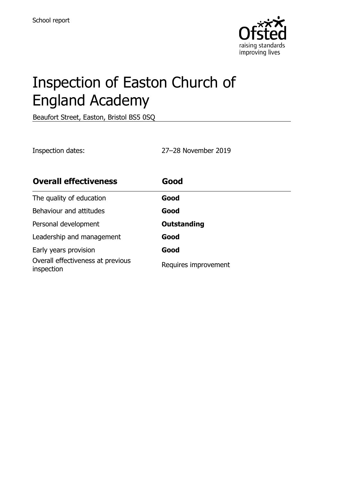

# Inspection of Easton Church of England Academy

Beaufort Street, Easton, Bristol BS5 0SQ

Inspection dates: 27–28 November 2019

| <b>Overall effectiveness</b>                    | Good                 |
|-------------------------------------------------|----------------------|
| The quality of education                        | Good                 |
| Behaviour and attitudes                         | Good                 |
| Personal development                            | <b>Outstanding</b>   |
| Leadership and management                       | Good                 |
| Early years provision                           | Good                 |
| Overall effectiveness at previous<br>inspection | Requires improvement |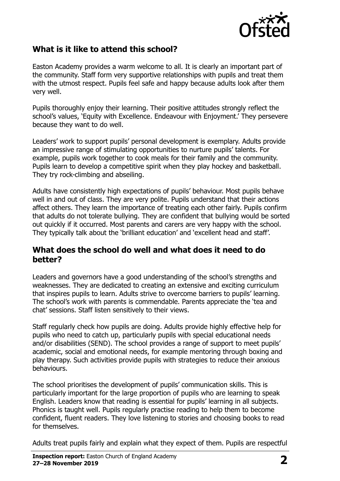

#### **What is it like to attend this school?**

Easton Academy provides a warm welcome to all. It is clearly an important part of the community. Staff form very supportive relationships with pupils and treat them with the utmost respect. Pupils feel safe and happy because adults look after them very well.

Pupils thoroughly enjoy their learning. Their positive attitudes strongly reflect the school's values, 'Equity with Excellence. Endeavour with Enjoyment.' They persevere because they want to do well.

Leaders' work to support pupils' personal development is exemplary. Adults provide an impressive range of stimulating opportunities to nurture pupils' talents. For example, pupils work together to cook meals for their family and the community. Pupils learn to develop a competitive spirit when they play hockey and basketball. They try rock-climbing and abseiling.

Adults have consistently high expectations of pupils' behaviour. Most pupils behave well in and out of class. They are very polite. Pupils understand that their actions affect others. They learn the importance of treating each other fairly. Pupils confirm that adults do not tolerate bullying. They are confident that bullying would be sorted out quickly if it occurred. Most parents and carers are very happy with the school. They typically talk about the 'brilliant education' and 'excellent head and staff'.

#### **What does the school do well and what does it need to do better?**

Leaders and governors have a good understanding of the school's strengths and weaknesses. They are dedicated to creating an extensive and exciting curriculum that inspires pupils to learn. Adults strive to overcome barriers to pupils' learning. The school's work with parents is commendable. Parents appreciate the 'tea and chat' sessions. Staff listen sensitively to their views.

Staff regularly check how pupils are doing. Adults provide highly effective help for pupils who need to catch up, particularly pupils with special educational needs and/or disabilities (SEND). The school provides a range of support to meet pupils' academic, social and emotional needs, for example mentoring through boxing and play therapy. Such activities provide pupils with strategies to reduce their anxious behaviours.

The school prioritises the development of pupils' communication skills. This is particularly important for the large proportion of pupils who are learning to speak English. Leaders know that reading is essential for pupils' learning in all subjects. Phonics is taught well. Pupils regularly practise reading to help them to become confident, fluent readers. They love listening to stories and choosing books to read for themselves.

Adults treat pupils fairly and explain what they expect of them. Pupils are respectful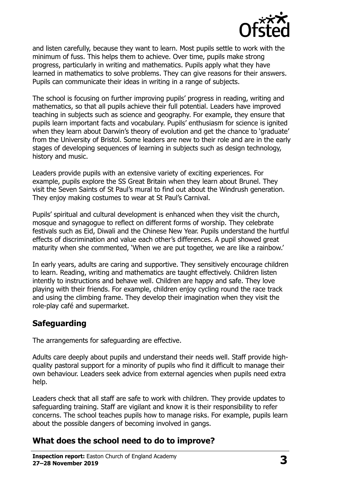

and listen carefully, because they want to learn. Most pupils settle to work with the minimum of fuss. This helps them to achieve. Over time, pupils make strong progress, particularly in writing and mathematics. Pupils apply what they have learned in mathematics to solve problems. They can give reasons for their answers. Pupils can communicate their ideas in writing in a range of subjects.

The school is focusing on further improving pupils' progress in reading, writing and mathematics, so that all pupils achieve their full potential. Leaders have improved teaching in subjects such as science and geography. For example, they ensure that pupils learn important facts and vocabulary. Pupils' enthusiasm for science is ignited when they learn about Darwin's theory of evolution and get the chance to 'graduate' from the University of Bristol. Some leaders are new to their role and are in the early stages of developing sequences of learning in subjects such as design technology, history and music.

Leaders provide pupils with an extensive variety of exciting experiences. For example, pupils explore the SS Great Britain when they learn about Brunel. They visit the Seven Saints of St Paul's mural to find out about the Windrush generation. They enjoy making costumes to wear at St Paul's Carnival.

Pupils' spiritual and cultural development is enhanced when they visit the church, mosque and synagogue to reflect on different forms of worship. They celebrate festivals such as Eid, Diwali and the Chinese New Year. Pupils understand the hurtful effects of discrimination and value each other's differences. A pupil showed great maturity when she commented, 'When we are put together, we are like a rainbow.'

In early years, adults are caring and supportive. They sensitively encourage children to learn. Reading, writing and mathematics are taught effectively. Children listen intently to instructions and behave well. Children are happy and safe. They love playing with their friends. For example, children enjoy cycling round the race track and using the climbing frame. They develop their imagination when they visit the role-play café and supermarket.

#### **Safeguarding**

The arrangements for safeguarding are effective.

Adults care deeply about pupils and understand their needs well. Staff provide highquality pastoral support for a minority of pupils who find it difficult to manage their own behaviour. Leaders seek advice from external agencies when pupils need extra help.

Leaders check that all staff are safe to work with children. They provide updates to safeguarding training. Staff are vigilant and know it is their responsibility to refer concerns. The school teaches pupils how to manage risks. For example, pupils learn about the possible dangers of becoming involved in gangs.

#### **What does the school need to do to improve?**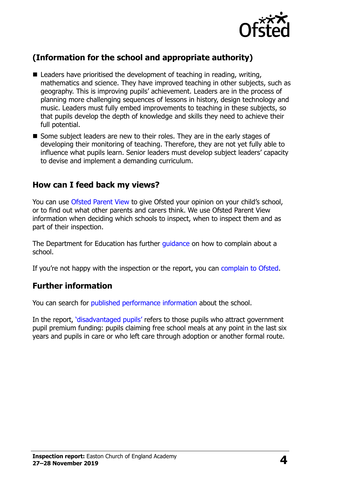

# **(Information for the school and appropriate authority)**

- Leaders have prioritised the development of teaching in reading, writing, mathematics and science. They have improved teaching in other subjects, such as geography. This is improving pupils' achievement. Leaders are in the process of planning more challenging sequences of lessons in history, design technology and music. Leaders must fully embed improvements to teaching in these subjects, so that pupils develop the depth of knowledge and skills they need to achieve their full potential.
- Some subject leaders are new to their roles. They are in the early stages of developing their monitoring of teaching. Therefore, they are not yet fully able to influence what pupils learn. Senior leaders must develop subject leaders' capacity to devise and implement a demanding curriculum.

#### **How can I feed back my views?**

You can use [Ofsted Parent View](http://parentview.ofsted.gov.uk/) to give Ofsted your opinion on your child's school, or to find out what other parents and carers think. We use Ofsted Parent View information when deciding which schools to inspect, when to inspect them and as part of their inspection.

The Department for Education has further quidance on how to complain about a school.

If you're not happy with the inspection or the report, you can [complain to Ofsted.](http://www.gov.uk/complain-ofsted-report)

#### **Further information**

You can search for [published performance information](http://www.compare-school-performance.service.gov.uk/) about the school.

In the report, '[disadvantaged pupils](http://www.gov.uk/guidance/pupil-premium-information-for-schools-and-alternative-provision-settings)' refers to those pupils who attract government pupil premium funding: pupils claiming free school meals at any point in the last six years and pupils in care or who left care through adoption or another formal route.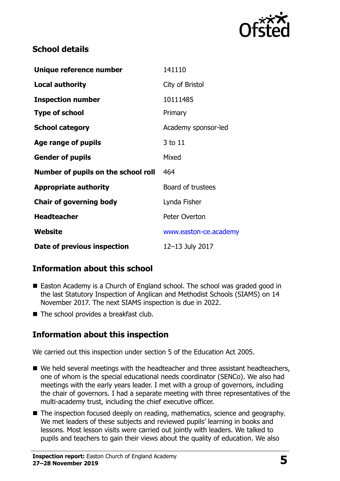

### **School details**

| Unique reference number             | 141110                |
|-------------------------------------|-----------------------|
| <b>Local authority</b>              | City of Bristol       |
| <b>Inspection number</b>            | 10111485              |
| <b>Type of school</b>               | Primary               |
| <b>School category</b>              | Academy sponsor-led   |
| Age range of pupils                 | 3 to 11               |
| <b>Gender of pupils</b>             | Mixed                 |
| Number of pupils on the school roll | 464                   |
| <b>Appropriate authority</b>        | Board of trustees     |
| <b>Chair of governing body</b>      | Lynda Fisher          |
| <b>Headteacher</b>                  | Peter Overton         |
| Website                             | www.easton-ce.academy |
| Date of previous inspection         | 12-13 July 2017       |

# **Information about this school**

- Easton Academy is a Church of England school. The school was graded good in the last Statutory Inspection of Anglican and Methodist Schools (SIAMS) on 14 November 2017. The next SIAMS inspection is due in 2022.
- The school provides a breakfast club.

# **Information about this inspection**

We carried out this inspection under section 5 of the Education Act 2005.

- We held several meetings with the headteacher and three assistant headteachers, one of whom is the special educational needs coordinator (SENCo). We also had meetings with the early years leader. I met with a group of governors, including the chair of governors. I had a separate meeting with three representatives of the multi-academy trust, including the chief executive officer.
- The inspection focused deeply on reading, mathematics, science and geography. We met leaders of these subjects and reviewed pupils' learning in books and lessons. Most lesson visits were carried out jointly with leaders. We talked to pupils and teachers to gain their views about the quality of education. We also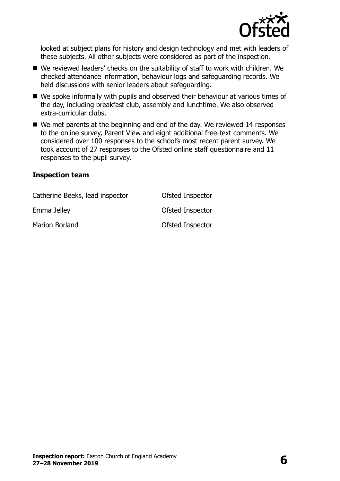

looked at subject plans for history and design technology and met with leaders of these subjects. All other subjects were considered as part of the inspection.

- We reviewed leaders' checks on the suitability of staff to work with children. We checked attendance information, behaviour logs and safeguarding records. We held discussions with senior leaders about safeguarding.
- We spoke informally with pupils and observed their behaviour at various times of the day, including breakfast club, assembly and lunchtime. We also observed extra-curricular clubs.
- We met parents at the beginning and end of the day. We reviewed 14 responses to the online survey, Parent View and eight additional free-text comments. We considered over 100 responses to the school's most recent parent survey. We took account of 27 responses to the Ofsted online staff questionnaire and 11 responses to the pupil survey.

#### **Inspection team**

| Catherine Beeks, lead inspector | Ofsted Inspector |
|---------------------------------|------------------|
| Emma Jelley                     | Ofsted Inspector |
| Marion Borland                  | Ofsted Inspector |